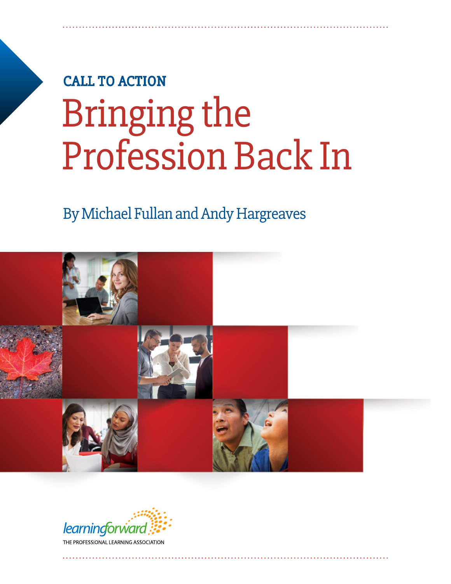# **CALL TO ACTION** Bringing the Profession Back In

### By Michael Fullan and Andy Hargreaves



learningforward THE PROFESSIONAL LEARNING ASSOCIATION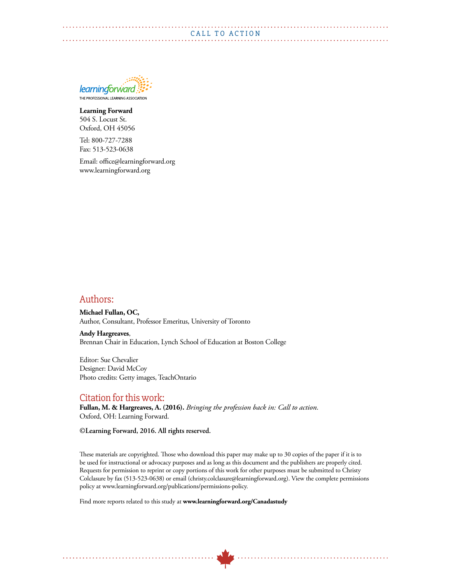

**Learning Forward** 504 S. Locust St. Oxford, OH 45056

Tel: 800-727-7288 Fax: 513-523-0638

Email: office@learningforward.org www.learningforward.org

#### Authors:

**Michael Fullan, OC,** Author, Consultant, Professor Emeritus, University of Toronto

**Andy Hargreaves**, Brennan Chair in Education, Lynch School of Education at Boston College

Editor: Sue Chevalier Designer: David McCoy Photo credits: Getty images, TeachOntario

#### Citation for this work:

**Fullan, M. & Hargreaves, A. (2016).** *Bringing the profession back in: Call to action*. Oxford, OH: Learning Forward.

**©Learning Forward, 2016. All rights reserved.**

These materials are copyrighted. Those who download this paper may make up to 30 copies of the paper if it is to be used for instructional or advocacy purposes and as long as this document and the publishers are properly cited. Requests for permission to reprint or copy portions of this work for other purposes must be submitted to Christy Colclasure by fax (513-523-0638) or email (christy.colclasure@learningforward.org). View the complete permissions policy at www.learningforward.org/publications/permissions-policy.

Find more reports related to this study at **www.learningforward.org/Canadastudy**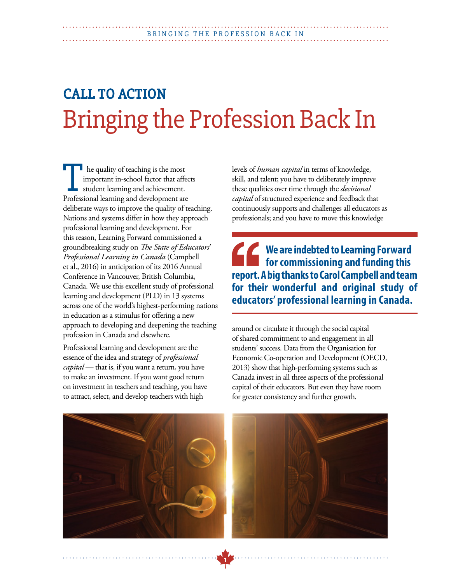## **CALL TO ACTION** Bringing the Profession Back In

**1**

he quality of teaching is the most important in-school factor that affects student learning and achievement. Professional learning and development are deliberate ways to improve the quality of teaching. Nations and systems differ in how they approach professional learning and development. For this reason, Learning Forward commissioned a groundbreaking study on *The State of Educators' Professional Learning in Canada* (Campbell et al., 2016) in anticipation of its 2016 Annual Conference in Vancouver, British Columbia, Canada. We use this excellent study of professional learning and development (PLD) in 13 systems across one of the world's highest-performing nations in education as a stimulus for offering a new approach to developing and deepening the teaching profession in Canada and elsewhere.

Professional learning and development are the essence of the idea and strategy of *professional capital* — that is, if you want a return, you have to make an investment. If you want good return on investment in teachers and teaching, you have to attract, select, and develop teachers with high

levels of *human capital* in terms of knowledge, skill, and talent; you have to deliberately improve these qualities over time through the *decisional capital* of structured experience and feedback that continuously supports and challenges all educators as professionals; and you have to move this knowledge

**We are indebted to Learning Forward for commissioning and funding this report. A big thanks to Carol Campbell and tean for their wonderful and original study of educators' professional learning in Canada. for commissioning and funding this report. A big thanks to Carol Campbell and team for their wonderful and original study of educators' professional learning in Canada.**

around or circulate it through the social capital of shared commitment to and engagement in all students' success. Data from the Organisation for Economic Co-operation and Development (OECD, 2013) show that high-performing systems such as Canada invest in all three aspects of the professional capital of their educators. But even they have room for greater consistency and further growth.



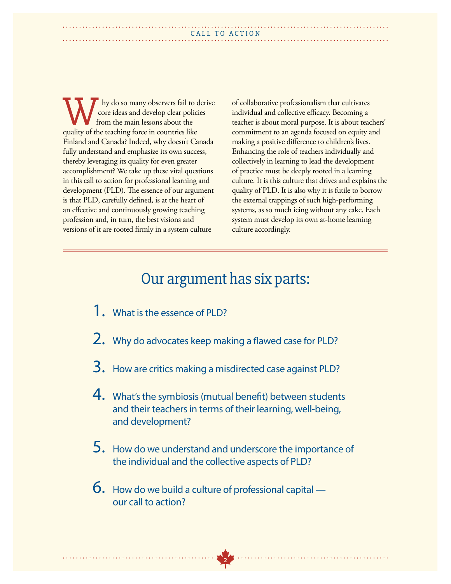hy do so many observers fail to derive core ideas and develop clear policies from the main lessons about the We hy do so many observers fail to core ideas and develop clear policity from the main lessons about the quality of the teaching force in countries like Finland and Canada? Indeed, why doesn't Canada fully understand and emphasize its own success, thereby leveraging its quality for even greater accomplishment? We take up these vital questions in this call to action for professional learning and development (PLD). The essence of our argument is that PLD, carefully defined, is at the heart of an effective and continuously growing teaching profession and, in turn, the best visions and versions of it are rooted firmly in a system culture

of collaborative professionalism that cultivates individual and collective efficacy. Becoming a teacher is about moral purpose. It is about teachers' commitment to an agenda focused on equity and making a positive difference to children's lives. Enhancing the role of teachers individually and collectively in learning to lead the development of practice must be deeply rooted in a learning culture. It is this culture that drives and explains the quality of PLD. It is also why it is futile to borrow the external trappings of such high-performing systems, as so much icing without any cake. Each system must develop its own at-home learning culture accordingly.

### Our argument has six parts:

- 1. What is the essence of PLD?
- 2. Why do advocates keep making a flawed case for PLD?
- 3. How are critics making a misdirected case against PLD?
- 4. What's the symbiosis (mutual benefit) between students and their teachers in terms of their learning, well-being, and development?
- 5. How do we understand and underscore the importance of the individual and the collective aspects of PLD?

**2**

 $6.$  How do we build a culture of professional capital  $$ our call to action?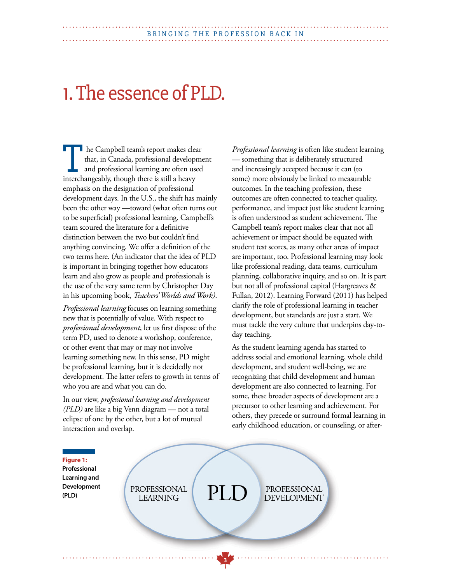## 1. The essence of PLD.

 he Campbell team's report makes clear that, in Canada, professional development and professional learning are often used Interchangeably, though there is still a heavy and professional learning are often use interchangeably, though there is still a heavy emphasis on the designation of professional development days. In the U.S., the shift has mainly been the other way —toward (what often turns out to be superficial) professional learning. Campbell's team scoured the literature for a definitive distinction between the two but couldn't find anything convincing. We offer a definition of the two terms here. (An indicator that the idea of PLD is important in bringing together how educators learn and also grow as people and professionals is the use of the very same term by Christopher Day in his upcoming book, *Teachers' Worlds and Work)*.

*Professional learning* focuses on learning something new that is potentially of value. With respect to *professional development*, let us first dispose of the term PD, used to denote a workshop, conference, or other event that may or may not involve learning something new. In this sense, PD might be professional learning, but it is decidedly not development. The latter refers to growth in terms of who you are and what you can do.

In our view, *professional learning and development (PLD)* are like a big Venn diagram — not a total eclipse of one by the other, but a lot of mutual interaction and overlap.

*Professional learning* is often like student learning — something that is deliberately structured and increasingly accepted because it can (to some) more obviously be linked to measurable outcomes. In the teaching profession, these outcomes are often connected to teacher quality, performance, and impact just like student learning is often understood as student achievement. The Campbell team's report makes clear that not all achievement or impact should be equated with student test scores, as many other areas of impact are important, too. Professional learning may look like professional reading, data teams, curriculum planning, collaborative inquiry, and so on. It is part but not all of professional capital (Hargreaves & Fullan, 2012). Learning Forward (2011) has helped clarify the role of professional learning in teacher development, but standards are just a start. We must tackle the very culture that underpins day-today teaching.

As the student learning agenda has started to address social and emotional learning, whole child development, and student well-being, we are recognizing that child development and human development are also connected to learning. For some, these broader aspects of development are a precursor to other learning and achievement. For others, they precede or surround formal learning in early childhood education, or counseling, or after-



**3**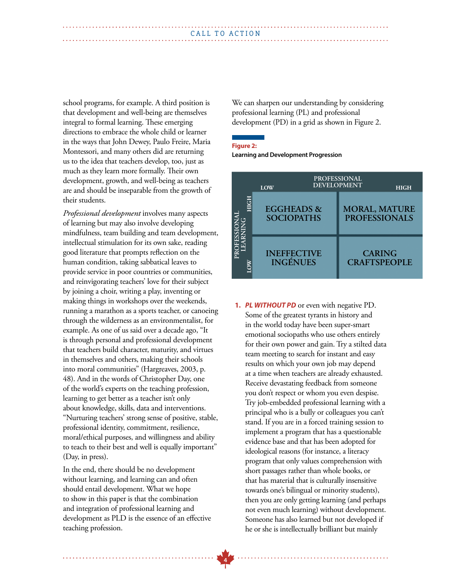school programs, for example. A third position is that development and well-being are themselves integral to formal learning. These emerging directions to embrace the whole child or learner in the ways that John Dewey, Paulo Freire, Maria Montessori, and many others did are returning us to the idea that teachers develop, too, just as much as they learn more formally. Their own development, growth, and well-being as teachers are and should be inseparable from the growth of their students.

*Professional development* involves many aspects of learning but may also involve developing mindfulness, team building and team development, intellectual stimulation for its own sake, reading good literature that prompts reflection on the human condition, taking sabbatical leaves to provide service in poor countries or communities, and reinvigorating teachers' love for their subject by joining a choir, writing a play, inventing or making things in workshops over the weekends, running a marathon as a sports teacher, or canoeing through the wilderness as an environmentalist, for example. As one of us said over a decade ago, "It is through personal and professional development that teachers build character, maturity, and virtues in themselves and others, making their schools into moral communities" (Hargreaves, 2003, p. 48). And in the words of Christopher Day, one of the world's experts on the teaching profession, learning to get better as a teacher isn't only about knowledge, skills, data and interventions. "Nurturing teachers' strong sense of positive, stable, professional identity, commitment, resilience, moral/ethical purposes, and willingness and ability to teach to their best and well is equally important" (Day, in press).

In the end, there should be no development without learning, and learning can and often should entail development. What we hope to show in this paper is that the combination and integration of professional learning and development as PLD is the essence of an effective teaching profession.

We can sharpen our understanding by considering professional learning (PL) and professional development (PD) in a grid as shown in Figure 2.

#### **Figure 2:**

**Learning and Development Progression**

|               | LOW                                        | <b>PROFESSIONAL</b><br><b>DEVELOPMENT</b> |                                              | <b>HIGH</b> |
|---------------|--------------------------------------------|-------------------------------------------|----------------------------------------------|-------------|
| <b>DFESSI</b> | <b>EGGHEADS &amp;</b><br><b>SOCIOPATHS</b> |                                           | <b>MORAL, MATURE</b><br><b>PROFESSIONALS</b> |             |
|               | <b>INEFFECTIVE</b><br><b>INGÉNUES</b>      |                                           | <b>CARING</b><br><b>CRAFTSPEOPLE</b>         |             |

**1.** *PL WITHOUT PD* or even with negative PD. Some of the greatest tyrants in history and in the world today have been super-smart emotional sociopaths who use others entirely for their own power and gain. Try a stilted data team meeting to search for instant and easy results on which your own job may depend at a time when teachers are already exhausted. Receive devastating feedback from someone you don't respect or whom you even despise. Try job-embedded professional learning with a principal who is a bully or colleagues you can't stand. If you are in a forced training session to implement a program that has a questionable evidence base and that has been adopted for ideological reasons (for instance, a literacy program that only values comprehension with short passages rather than whole books, or that has material that is culturally insensitive towards one's bilingual or minority students), then you are only getting learning (and perhaps not even much learning) without development. Someone has also learned but not developed if he or she is intellectually brilliant but mainly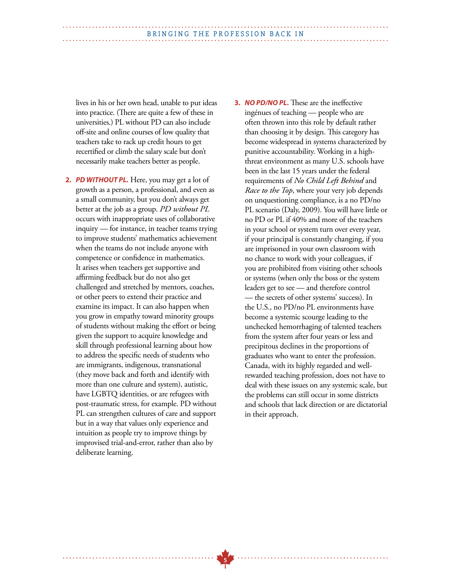lives in his or her own head, unable to put ideas into practice. (There are quite a few of these in universities.) PL without PD can also include off-site and online courses of low quality that teachers take to rack up credit hours to get recertified or climb the salary scale but don't necessarily make teachers better as people.

- **2.** *PD WITHOUT PL.* Here, you may get a lot of growth as a person, a professional, and even as a small community, but you don't always get better at the job as a group. *PD without PL* occurs with inappropriate uses of collaborative inquiry — for instance, in teacher teams trying to improve students' mathematics achievement when the teams do not include anyone with competence or confidence in mathematics. It arises when teachers get supportive and affirming feedback but do not also get challenged and stretched by mentors, coaches, or other peers to extend their practice and examine its impact. It can also happen when you grow in empathy toward minority groups of students without making the effort or being given the support to acquire knowledge and skill through professional learning about how to address the specific needs of students who are immigrants, indigenous, transnational (they move back and forth and identify with more than one culture and system), autistic, have LGBTQ identities, or are refugees with post-traumatic stress, for example. PD without PL can strengthen cultures of care and support but in a way that values only experience and intuition as people try to improve things by improvised trial-and-error, rather than also by deliberate learning.
- **3.** *NO PD/NO PL***.** These are the ineffective ingénues of teaching — people who are often thrown into this role by default rather than choosing it by design. This category has become widespread in systems characterized by punitive accountability. Working in a highthreat environment as many U.S. schools have been in the last 15 years under the federal requirements of *No Child Left Behind* and *Race to the Top*, where your very job depends on unquestioning compliance, is a no PD/no PL scenario (Daly, 2009). You will have little or no PD or PL if 40% and more of the teachers in your school or system turn over every year, if your principal is constantly changing, if you are imprisoned in your own classroom with no chance to work with your colleagues, if you are prohibited from visiting other schools or systems (when only the boss or the system leaders get to see — and therefore control — the secrets of other systems' success). In the U.S., no PD/no PL environments have become a systemic scourge leading to the unchecked hemorrhaging of talented teachers from the system after four years or less and precipitous declines in the proportions of graduates who want to enter the profession. Canada, with its highly regarded and wellrewarded teaching profession, does not have to deal with these issues on any systemic scale, but the problems can still occur in some districts and schools that lack direction or are dictatorial in their approach.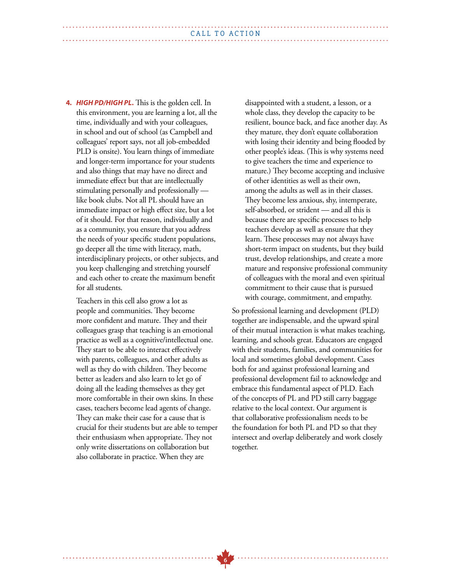**4.** *HIGH PD/HIGH PL***.** This is the golden cell. In this environment, you are learning a lot, all the time, individually and with your colleagues, in school and out of school (as Campbell and colleagues' report says, not all job-embedded PLD is onsite). You learn things of immediate and longer-term importance for your students and also things that may have no direct and immediate effect but that are intellectually stimulating personally and professionally like book clubs. Not all PL should have an immediate impact or high effect size, but a lot of it should. For that reason, individually and as a community, you ensure that you address the needs of your specific student populations, go deeper all the time with literacy, math, interdisciplinary projects, or other subjects, and you keep challenging and stretching yourself and each other to create the maximum benefit for all students.

Teachers in this cell also grow a lot as people and communities. They become more confident and mature. They and their colleagues grasp that teaching is an emotional practice as well as a cognitive/intellectual one. They start to be able to interact effectively with parents, colleagues, and other adults as well as they do with children. They become better as leaders and also learn to let go of doing all the leading themselves as they get more comfortable in their own skins. In these cases, teachers become lead agents of change. They can make their case for a cause that is crucial for their students but are able to temper their enthusiasm when appropriate. They not only write dissertations on collaboration but also collaborate in practice. When they are

disappointed with a student, a lesson, or a whole class, they develop the capacity to be resilient, bounce back, and face another day. As they mature, they don't equate collaboration with losing their identity and being flooded by other people's ideas. (This is why systems need to give teachers the time and experience to mature.) They become accepting and inclusive of other identities as well as their own, among the adults as well as in their classes. They become less anxious, shy, intemperate, self-absorbed, or strident — and all this is because there are specific processes to help teachers develop as well as ensure that they learn. These processes may not always have short-term impact on students, but they build trust, develop relationships, and create a more mature and responsive professional community of colleagues with the moral and even spiritual commitment to their cause that is pursued with courage, commitment, and empathy.

So professional learning and development (PLD) together are indispensable, and the upward spiral of their mutual interaction is what makes teaching, learning, and schools great. Educators are engaged with their students, families, and communities for local and sometimes global development. Cases both for and against professional learning and professional development fail to acknowledge and embrace this fundamental aspect of PLD. Each of the concepts of PL and PD still carry baggage relative to the local context. Our argument is that collaborative professionalism needs to be the foundation for both PL and PD so that they intersect and overlap deliberately and work closely together.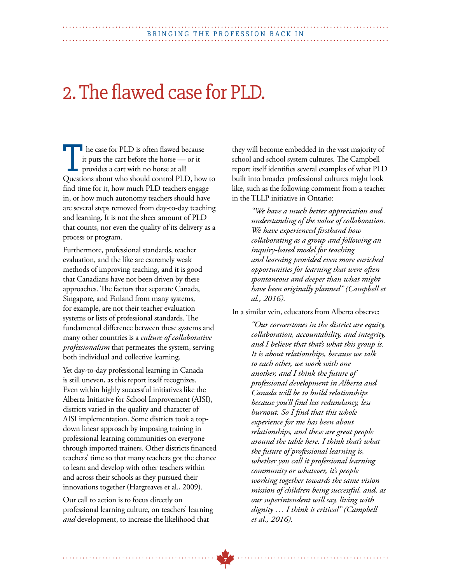## 2. The flawed case for PLD.

**h** he case for PLD is often flawed because it puts the cart before the horse — or it provides a cart with no horse at all! I he case for PLD is often flawed because<br>it puts the cart before the horse — or it<br>provides a cart with no horse at all!<br>Questions about who should control PLD, how to find time for it, how much PLD teachers engage in, or how much autonomy teachers should have are several steps removed from day-to-day teaching and learning. It is not the sheer amount of PLD that counts, nor even the quality of its delivery as a process or program.

Furthermore, professional standards, teacher evaluation, and the like are extremely weak methods of improving teaching, and it is good that Canadians have not been driven by these approaches. The factors that separate Canada, Singapore, and Finland from many systems, for example, are not their teacher evaluation systems or lists of professional standards. The fundamental difference between these systems and many other countries is a *culture of collaborative professionalism* that permeates the system, serving both individual and collective learning.

Yet day-to-day professional learning in Canada is still uneven, as this report itself recognizes. Even within highly successful initiatives like the Alberta Initiative for School Improvement (AISI), districts varied in the quality and character of AISI implementation. Some districts took a topdown linear approach by imposing training in professional learning communities on everyone through imported trainers. Other districts financed teachers' time so that many teachers got the chance to learn and develop with other teachers within and across their schools as they pursued their innovations together (Hargreaves et al., 2009).

Our call to action is to focus directly on professional learning culture, on teachers' learning *and* development, to increase the likelihood that

they will become embedded in the vast majority of school and school system cultures. The Campbell report itself identifies several examples of what PLD built into broader professional cultures might look like, such as the following comment from a teacher in the TLLP initiative in Ontario:

> *"We have a much better appreciation and understanding of the value of collaboration. We have experienced firsthand how collaborating as a group and following an inquiry-based model for teaching and learning provided even more enriched opportunities for learning that were often spontaneous and deeper than what might have been originally planned" (Campbell et al., 2016).*

In a similar vein, educators from Alberta observe:

*"Our cornerstones in the district are equity, collaboration, accountability, and integrity, and I believe that that's what this group is. It is about relationships, because we talk to each other, we work with one another, and I think the future of professional development in Alberta and Canada will be to build relationships because you'll find less redundancy, less burnout. So I find that this whole experience for me has been about relationships, and these are great people around the table here. I think that's what the future of professional learning is, whether you call it professional learning community or whatever, it's people working together towards the same vision mission of children being successful, and, as our superintendent will say, living with dignity … I think is critical" (Campbell et al., 2016).*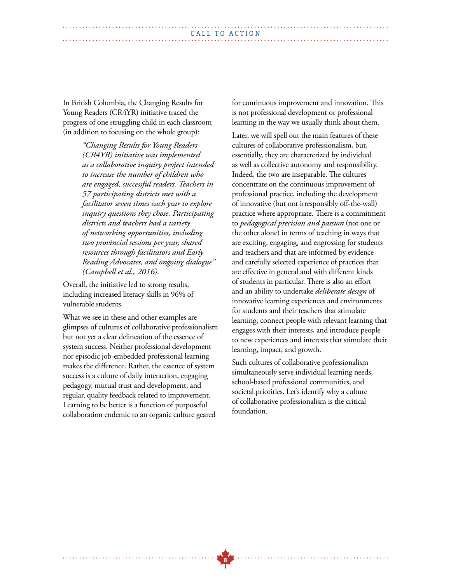In British Columbia, the Changing Results for Young Readers (CR4YR) initiative traced the progress of one struggling child in each classroom (in addition to focusing on the whole group):

> *"Changing Results for Young Readers (CR4YR) initiative was implemented as a collaborative inquiry project intended to increase the number of children who are engaged, successful readers. Teachers in 57 participating districts met with a facilitator seven times each year to explore inquiry questions they chose. Participating districts and teachers had a variety of networking opportunities, including two provincial sessions per year, shared resources through facilitators and Early Reading Advocates, and ongoing dialogue" (Campbell et al., 2016).*

Overall, the initiative led to strong results, including increased literacy skills in 96% of vulnerable students.

What we see in these and other examples are glimpses of cultures of collaborative professionalism but not yet a clear delineation of the essence of system success. Neither professional development nor episodic job-embedded professional learning makes the difference. Rather, the essence of system success is a culture of daily interaction, engaging pedagogy, mutual trust and development, and regular, quality feedback related to improvement. Learning to be better is a function of purposeful collaboration endemic to an organic culture geared

for continuous improvement and innovation. This is not professional development or professional learning in the way we usually think about them.

Later, we will spell out the main features of these cultures of collaborative professionalism, but, essentially, they are characterized by individual as well as collective autonomy and responsibility. Indeed, the two are inseparable. The cultures concentrate on the continuous improvement of professional practice, including the development of innovative (but not irresponsibly off-the-wall) practice where appropriate. There is a commitment to *pedagogical precision and passion* (not one or the other alone) in terms of teaching in ways that are exciting, engaging, and engrossing for students and teachers and that are informed by evidence and carefully selected experience of practices that are effective in general and with different kinds of students in particular. There is also an effort and an ability to undertake *deliberate design* of innovative learning experiences and environments for students and their teachers that stimulate learning, connect people with relevant learning that engages with their interests, and introduce people to new experiences and interests that stimulate their learning, impact, and growth.

Such cultures of collaborative professionalism simultaneously serve individual learning needs, school-based professional communities, and societal priorities. Let's identify why a culture of collaborative professionalism is the critical foundation.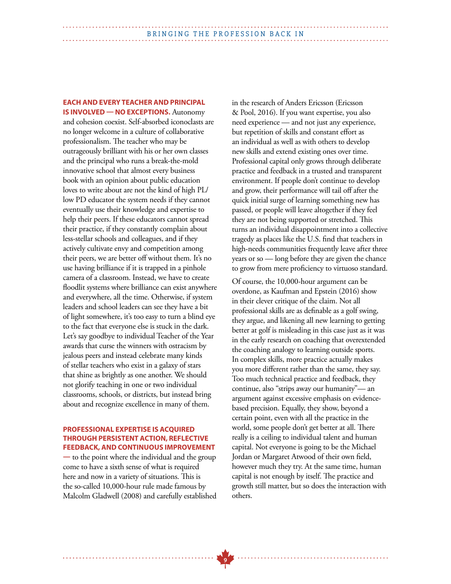### **EACH AND EVERY TEACHER AND PRINCIPAL**

**IS INVOLVED — NO EXCEPTIONS.** Autonomy and cohesion coexist. Self-absorbed iconoclasts are no longer welcome in a culture of collaborative professionalism. The teacher who may be outrageously brilliant with his or her own classes and the principal who runs a break-the-mold innovative school that almost every business book with an opinion about public education loves to write about are not the kind of high PL/ low PD educator the system needs if they cannot eventually use their knowledge and expertise to help their peers. If these educators cannot spread their practice, if they constantly complain about less-stellar schools and colleagues, and if they actively cultivate envy and competition among their peers, we are better off without them. It's no use having brilliance if it is trapped in a pinhole camera of a classroom. Instead, we have to create floodlit systems where brilliance can exist anywhere and everywhere, all the time. Otherwise, if system leaders and school leaders can see they have a bit of light somewhere, it's too easy to turn a blind eye to the fact that everyone else is stuck in the dark. Let's say goodbye to individual Teacher of the Year awards that curse the winners with ostracism by jealous peers and instead celebrate many kinds of stellar teachers who exist in a galaxy of stars that shine as brightly as one another. We should not glorify teaching in one or two individual classrooms, schools, or districts, but instead bring about and recognize excellence in many of them.

#### **PROFESSIONAL EXPERTISE IS ACQUIRED THROUGH PERSISTENT ACTION, REFLECTIVE FEEDBACK, AND CONTINUOUS IMPROVEMENT**

**—** to the point where the individual and the group come to have a sixth sense of what is required here and now in a variety of situations. This is the so-called 10,000-hour rule made famous by Malcolm Gladwell (2008) and carefully established in the research of Anders Ericsson (Ericsson & Pool, 2016). If you want expertise, you also need experience — and not just any experience, but repetition of skills and constant effort as an individual as well as with others to develop new skills and extend existing ones over time. Professional capital only grows through deliberate practice and feedback in a trusted and transparent environment. If people don't continue to develop and grow, their performance will tail off after the quick initial surge of learning something new has passed, or people will leave altogether if they feel they are not being supported or stretched. This turns an individual disappointment into a collective tragedy as places like the U.S. find that teachers in high-needs communities frequently leave after three years or so — long before they are given the chance to grow from mere proficiency to virtuoso standard.

Of course, the 10,000-hour argument can be overdone, as Kaufman and Epstein (2016) show in their clever critique of the claim. Not all professional skills are as definable as a golf swing, they argue, and likening all new learning to getting better at golf is misleading in this case just as it was in the early research on coaching that overextended the coaching analogy to learning outside sports. In complex skills, more practice actually makes you more different rather than the same, they say. Too much technical practice and feedback, they continue, also "strips away our humanity"— an argument against excessive emphasis on evidencebased precision. Equally, they show, beyond a certain point, even with all the practice in the world, some people don't get better at all. There really is a ceiling to individual talent and human capital. Not everyone is going to be the Michael Jordan or Margaret Atwood of their own field, however much they try. At the same time, human capital is not enough by itself. The practice and growth still matter, but so does the interaction with others.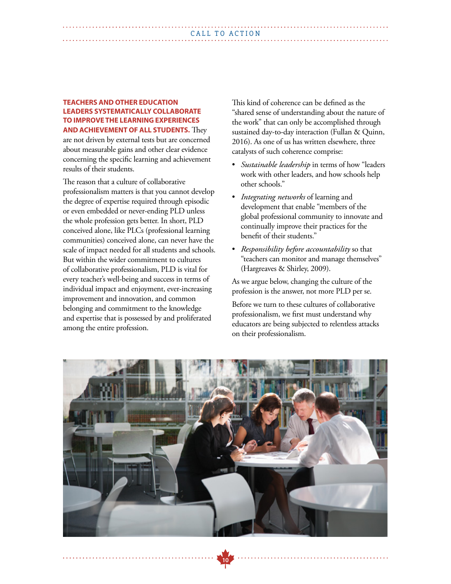#### **TEACHERS AND OTHER EDUCATION LEADERS SYSTEMATICALLY COLLABORATE TO IMPROVE THE LEARNING EXPERIENCES AND ACHIEVEMENT OF ALL STUDENTS.** They

are not driven by external tests but are concerned about measurable gains and other clear evidence concerning the specific learning and achievement results of their students.

The reason that a culture of collaborative professionalism matters is that you cannot develop the degree of expertise required through episodic or even embedded or never-ending PLD unless the whole profession gets better. In short, PLD conceived alone, like PLCs (professional learning communities) conceived alone, can never have the scale of impact needed for all students and schools. But within the wider commitment to cultures of collaborative professionalism, PLD is vital for every teacher's well-being and success in terms of individual impact and enjoyment, ever-increasing improvement and innovation, and common belonging and commitment to the knowledge and expertise that is possessed by and proliferated among the entire profession.

This kind of coherence can be defined as the "shared sense of understanding about the nature of the work" that can only be accomplished through sustained day-to-day interaction (Fullan & Quinn, 2016). As one of us has written elsewhere, three catalysts of such coherence comprise:

- *Sustainable leadership* in terms of how "leaders work with other leaders, and how schools help other schools."
- *Integrating networks* of learning and development that enable "members of the global professional community to innovate and continually improve their practices for the benefit of their students."
- *Responsibility before accountability* so that "teachers can monitor and manage themselves" (Hargreaves & Shirley, 2009).

As we argue below, changing the culture of the profession is the answer, not more PLD per se.

Before we turn to these cultures of collaborative professionalism, we first must understand why educators are being subjected to relentless attacks on their professionalism.



**10**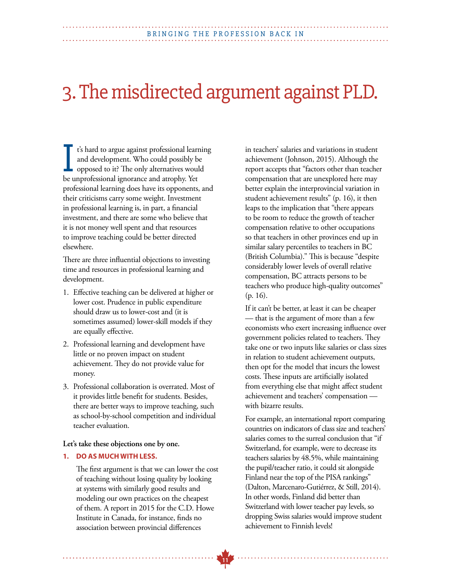## 3. The misdirected argument against PLD.

t's hard to argue against professional learning and development. Who could possibly be opposed to it? The only alternatives would I's hard to argue against professional learn<br>and development. Who could possibly be<br>opposed to it? The only alternatives would<br>be unprofessional ignorance and atrophy. Yet professional learning does have its opponents, and their criticisms carry some weight. Investment in professional learning is, in part, a financial investment, and there are some who believe that it is not money well spent and that resources to improve teaching could be better directed elsewhere.

There are three influential objections to investing time and resources in professional learning and development.

- 1. Effective teaching can be delivered at higher or lower cost. Prudence in public expenditure should draw us to lower-cost and (it is sometimes assumed) lower-skill models if they are equally effective.
- 2. Professional learning and development have little or no proven impact on student achievement. They do not provide value for money.
- 3. Professional collaboration is overrated. Most of it provides little benefit for students. Besides, there are better ways to improve teaching, such as school-by-school competition and individual teacher evaluation.

#### **Let's take these objections one by one.**

#### **1. DO AS MUCH WITH LESS.**

 The first argument is that we can lower the cost of teaching without losing quality by looking at systems with similarly good results and modeling our own practices on the cheapest of them. A report in 2015 for the C.D. Howe Institute in Canada, for instance, finds no association between provincial differences

 in teachers' salaries and variations in student achievement (Johnson, 2015). Although the report accepts that "factors other than teacher compensation that are unexplored here may better explain the interprovincial variation in student achievement results" (p. 16), it then leaps to the implication that "there appears to be room to reduce the growth of teacher compensation relative to other occupations so that teachers in other provinces end up in similar salary percentiles to teachers in BC (British Columbia)." This is because "despite considerably lower levels of overall relative compensation, BC attracts persons to be teachers who produce high-quality outcomes" (p. 16).

 If it can't be better, at least it can be cheaper — that is the argument of more than a few economists who exert increasing influence over government policies related to teachers. They take one or two inputs like salaries or class sizes in relation to student achievement outputs, then opt for the model that incurs the lowest costs. These inputs are artificially isolated from everything else that might affect student achievement and teachers' compensation with bizarre results.

 For example, an international report comparing countries on indicators of class size and teachers' salaries comes to the surreal conclusion that "if Switzerland, for example, were to decrease its teachers salaries by 48.5%, while maintaining the pupil/teacher ratio, it could sit alongside Finland near the top of the PISA rankings" (Dalton, Marcenaro-Gutiérrez, & Still, 2014). In other words, Finland did better than Switzerland with lower teacher pay levels, so dropping Swiss salaries would improve student achievement to Finnish levels!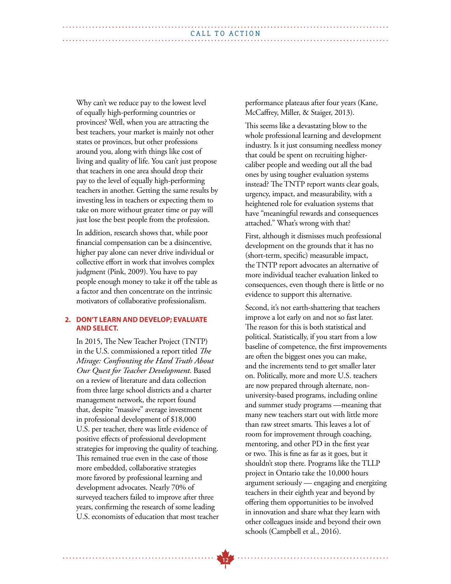Why can't we reduce pay to the lowest level of equally high-performing countries or provinces? Well, when you are attracting the best teachers, your market is mainly not other states or provinces, but other professions around you, along with things like cost of living and quality of life. You can't just propose that teachers in one area should drop their pay to the level of equally high-performing teachers in another. Getting the same results by investing less in teachers or expecting them to take on more without greater time or pay will just lose the best people from the profession.

 In addition, research shows that, while poor financial compensation can be a disincentive, higher pay alone can never drive individual or collective effort in work that involves complex judgment (Pink, 2009). You have to pay people enough money to take it off the table as a factor and then concentrate on the intrinsic motivators of collaborative professionalism.

#### **2. DON'T LEARN AND DEVELOP; EVALUATE AND SELECT.**

 In 2015, The New Teacher Project (TNTP) in the U.S. commissioned a report titled *The Mirage: Confronting the Hard Truth About Our Quest for Teacher Development*. Based on a review of literature and data collection from three large school districts and a charter management network, the report found that, despite "massive" average investment in professional development of \$18,000 U.S. per teacher, there was little evidence of positive effects of professional development strategies for improving the quality of teaching. This remained true even in the case of those more embedded, collaborative strategies more favored by professional learning and development advocates. Nearly 70% of surveyed teachers failed to improve after three years, confirming the research of some leading U.S. economists of education that most teacher  performance plateaus after four years (Kane, McCaffrey, Miller, & Staiger, 2013).

 This seems like a devastating blow to the whole professional learning and development industry. Is it just consuming needless money that could be spent on recruiting highercaliber people and weeding out all the bad ones by using tougher evaluation systems instead? The TNTP report wants clear goals, urgency, impact, and measurability, with a heightened role for evaluation systems that have "meaningful rewards and consequences attached." What's wrong with that?

 First, although it dismisses much professional development on the grounds that it has no (short-term, specific) measurable impact, the TNTP report advocates an alternative of more individual teacher evaluation linked to consequences, even though there is little or no evidence to support this alternative.

 Second, it's not earth-shattering that teachers improve a lot early on and not so fast later. The reason for this is both statistical and political. Statistically, if you start from a low baseline of competence, the first improvements are often the biggest ones you can make, and the increments tend to get smaller later on. Politically, more and more U.S. teachers are now prepared through alternate, nonuniversity-based programs, including online and summer study programs —meaning that many new teachers start out with little more than raw street smarts. This leaves a lot of room for improvement through coaching, mentoring, and other PD in the first year or two. This is fine as far as it goes, but it shouldn't stop there. Programs like the TLLP project in Ontario take the 10,000 hours argument seriously — engaging and energizing teachers in their eighth year and beyond by offering them opportunities to be involved in innovation and share what they learn with other colleagues inside and beyond their own schools (Campbell et al., 2016).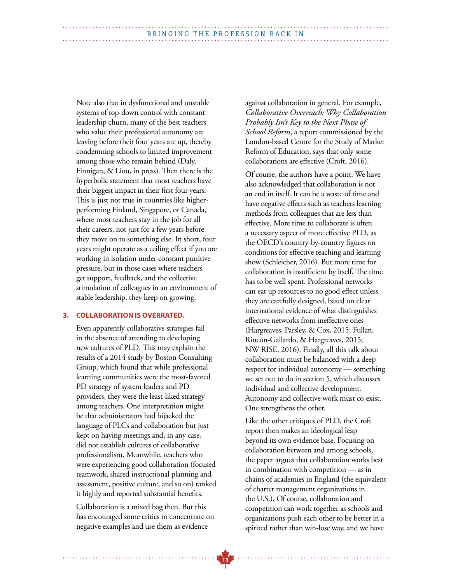Note also that in dysfunctional and unstable systems of top-down control with constant leadership churn, many of the best teachers who value their professional autonomy are leaving before their four years are up, thereby condemning schools to limited improvement among those who remain behind (Daly, Finnigan, & Liou, in press). Then there is the hyperbolic statement that most teachers have their biggest impact in their first four years. This is just not true in countries like higherperforming Finland, Singapore, or Canada, where most teachers stay in the job for all their careers, not just for a few years before they move on to something else. In short, four years might operate as a ceiling effect if you are working in isolation under constant punitive pressure, but in those cases where teachers get support, feedback, and the collective stimulation of colleagues in an environment of stable leadership, they keep on growing.

#### **3. COLLABORATION IS OVERRATED.**

 Even apparently collaborative strategies fail in the absence of attending to developing new cultures of PLD. This may explain the results of a 2014 study by Boston Consulting Group, which found that while professional learning communities were the most-favored PD strategy of system leaders and PD providers, they were the least-liked strategy among teachers. One interpretation might be that administrators had hijacked the language of PLCs and collaboration but just kept on having meetings and, in any case, did not establish cultures of collaborative professionalism. Meanwhile, teachers who were experiencing good collaboration (focused teamwork, shared instructional planning and assessment, positive culture, and so on) ranked it highly and reported substantial benefits.

 Collaboration is a mixed bag then. But this has encouraged some critics to concentrate on negative examples and use them as evidence

against collaboration in general. For example, *Collaborative Overreach: Why Collaboration Probably Isn't Key to the Next Phase of School Reform*, a report commissioned by the London-based Centre for the Study of Market Reform of Education, says that only some collaborations are effective (Croft, 2016).

 Of course, the authors have a point. We have also acknowledged that collaboration is not an end in itself. It can be a waste of time and have negative effects such as teachers learning methods from colleagues that are less than effective. More time to collaborate is often a necessary aspect of more effective PLD, as the OECD's country-by-country figures on conditions for effective teaching and learning show (Schleicher, 2016). But more time for collaboration is insufficient by itself. The time has to be well spent. Professional networks can eat up resources to no good effect unless they are carefully designed, based on clear international evidence of what distinguishes effective networks from ineffective ones (Hargreaves, Parsley, & Cox, 2015; Fullan, Rincón-Gallardo, & Hargreaves, 2015; NW RISE, 2016). Finally, all this talk about collaboration must be balanced with a deep respect for individual autonomy — something we set out to do in section 5, which discusses individual and collective development. Autonomy and collective work must co-exist. One strengthens the other.

 Like the other critiques of PLD, the Croft report then makes an ideological leap beyond its own evidence base. Focusing on collaboration between and among schools, the paper argues that collaboration works best in combination with competition — as in chains of academies in England (the equivalent of charter management organizations in the U.S.). Of course, collaboration and competition can work together as schools and organizations push each other to be better in a spirited rather than win-lose way, and we have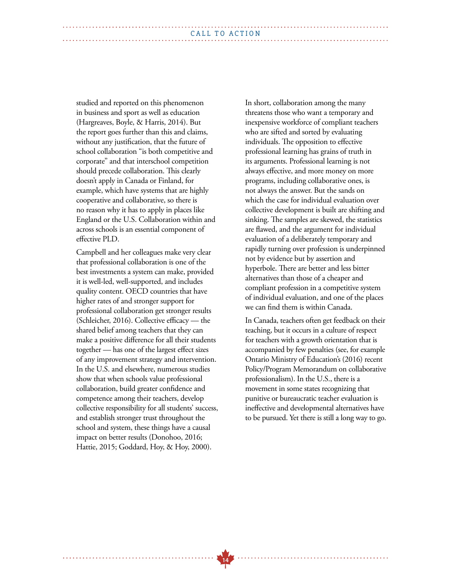studied and reported on this phenomenon in business and sport as well as education (Hargreaves, Boyle, & Harris, 2014). But the report goes further than this and claims, without any justification, that the future of school collaboration "is both competitive and corporate" and that interschool competition should precede collaboration. This clearly doesn't apply in Canada or Finland, for example, which have systems that are highly cooperative and collaborative, so there is no reason why it has to apply in places like England or the U.S. Collaboration within and across schools is an essential component of effective PLD.

 Campbell and her colleagues make very clear that professional collaboration is one of the best investments a system can make, provided it is well-led, well-supported, and includes quality content. OECD countries that have higher rates of and stronger support for professional collaboration get stronger results (Schleicher, 2016). Collective efficacy — the shared belief among teachers that they can make a positive difference for all their students together — has one of the largest effect sizes of any improvement strategy and intervention. In the U.S. and elsewhere, numerous studies show that when schools value professional collaboration, build greater confidence and competence among their teachers, develop collective responsibility for all students' success, and establish stronger trust throughout the school and system, these things have a causal impact on better results (Donohoo, 2016; Hattie, 2015; Goddard, Hoy, & Hoy, 2000).

 In short, collaboration among the many threatens those who want a temporary and inexpensive workforce of compliant teachers who are sifted and sorted by evaluating individuals. The opposition to effective professional learning has grains of truth in its arguments. Professional learning is not always effective, and more money on more programs, including collaborative ones, is not always the answer. But the sands on which the case for individual evaluation over collective development is built are shifting and sinking. The samples are skewed, the statistics are flawed, and the argument for individual evaluation of a deliberately temporary and rapidly turning over profession is underpinned not by evidence but by assertion and hyperbole. There are better and less bitter alternatives than those of a cheaper and compliant profession in a competitive system of individual evaluation, and one of the places we can find them is within Canada.

 In Canada, teachers often get feedback on their teaching, but it occurs in a culture of respect for teachers with a growth orientation that is accompanied by few penalties (see, for example Ontario Ministry of Education's (2016) recent Policy/Program Memorandum on collaborative professionalism). In the U.S., there is a movement in some states recognizing that punitive or bureaucratic teacher evaluation is ineffective and developmental alternatives have to be pursued. Yet there is still a long way to go.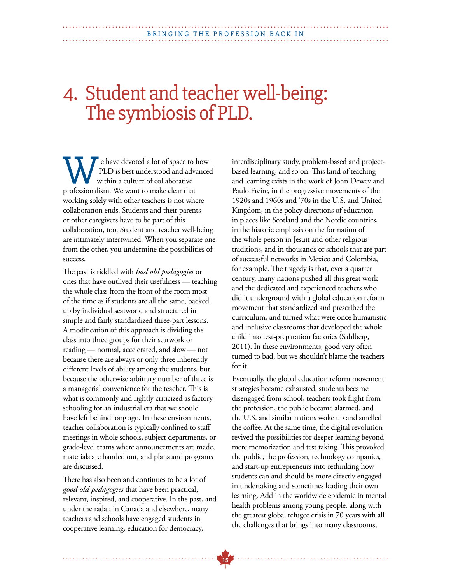## 4. Student and teacher well-being: The symbiosis of PLD.

 e have devoted a lot of space to how PLD is best understood and advanced within a culture of collaborative **PLD** is best understood and advantured professionalism. We want to make clear that working solely with other teachers is not where collaboration ends. Students and their parents or other caregivers have to be part of this collaboration, too. Student and teacher well-being are intimately intertwined. When you separate one from the other, you undermine the possibilities of success.

The past is riddled with *bad old pedagogies* or ones that have outlived their usefulness — teaching the whole class from the front of the room most of the time as if students are all the same, backed up by individual seatwork, and structured in simple and fairly standardized three-part lessons. A modification of this approach is dividing the class into three groups for their seatwork or reading — normal, accelerated, and slow — not because there are always or only three inherently different levels of ability among the students, but because the otherwise arbitrary number of three is a managerial convenience for the teacher. This is what is commonly and rightly criticized as factory schooling for an industrial era that we should have left behind long ago. In these environments, teacher collaboration is typically confined to staff meetings in whole schools, subject departments, or grade-level teams where announcements are made, materials are handed out, and plans and programs are discussed.

There has also been and continues to be a lot of *good old pedagogies* that have been practical, relevant, inspired, and cooperative. In the past, and under the radar, in Canada and elsewhere, many teachers and schools have engaged students in cooperative learning, education for democracy,

interdisciplinary study, problem-based and projectbased learning, and so on. This kind of teaching and learning exists in the work of John Dewey and Paulo Freire, in the progressive movements of the 1920s and 1960s and '70s in the U.S. and United Kingdom, in the policy directions of education in places like Scotland and the Nordic countries, in the historic emphasis on the formation of the whole person in Jesuit and other religious traditions, and in thousands of schools that are part of successful networks in Mexico and Colombia, for example. The tragedy is that, over a quarter century, many nations pushed all this great work and the dedicated and experienced teachers who did it underground with a global education reform movement that standardized and prescribed the curriculum, and turned what were once humanistic and inclusive classrooms that developed the whole child into test-preparation factories (Sahlberg, 2011). In these environments, good very often turned to bad, but we shouldn't blame the teachers for it.

Eventually, the global education reform movement strategies became exhausted, students became disengaged from school, teachers took flight from the profession, the public became alarmed, and the U.S. and similar nations woke up and smelled the coffee. At the same time, the digital revolution revived the possibilities for deeper learning beyond mere memorization and test taking. This provoked the public, the profession, technology companies, and start-up entrepreneurs into rethinking how students can and should be more directly engaged in undertaking and sometimes leading their own learning. Add in the worldwide epidemic in mental health problems among young people, along with the greatest global refugee crisis in 70 years with all the challenges that brings into many classrooms,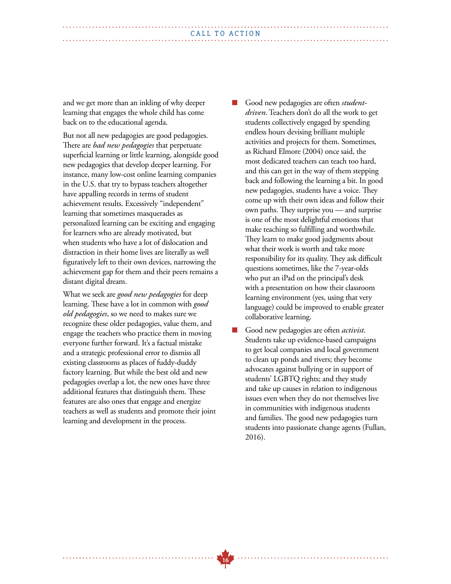| CALL TO ACTION |  |  |
|----------------|--|--|
|                |  |  |
|                |  |  |

and we get more than an inkling of why deeper learning that engages the whole child has come back on to the educational agenda.

But not all new pedagogies are good pedagogies. There are *bad new pedagogies* that perpetuate superficial learning or little learning, alongside good new pedagogies that develop deeper learning. For instance, many low-cost online learning companies in the U.S. that try to bypass teachers altogether have appalling records in terms of student achievement results. Excessively "independent" learning that sometimes masquerades as personalized learning can be exciting and engaging for learners who are already motivated, but when students who have a lot of dislocation and distraction in their home lives are literally as well figuratively left to their own devices, narrowing the achievement gap for them and their peers remains a distant digital dream.

What we seek are *good new pedagogies* for deep learning. These have a lot in common with *good old pedagogies*, so we need to makes sure we recognize these older pedagogies, value them, and engage the teachers who practice them in moving everyone further forward. It's a factual mistake and a strategic professional error to dismiss all existing classrooms as places of fuddy-duddy factory learning. But while the best old and new pedagogies overlap a lot, the new ones have three additional features that distinguish them. These features are also ones that engage and energize teachers as well as students and promote their joint learning and development in the process.

Good new pedagogies are often *studentdriven*. Teachers don't do all the work to get students collectively engaged by spending endless hours devising brilliant multiple activities and projects for them. Sometimes, as Richard Elmore (2004) once said, the most dedicated teachers can teach too hard, and this can get in the way of them stepping back and following the learning a bit. In good new pedagogies, students have a voice. They come up with their own ideas and follow their own paths. They surprise you — and surprise is one of the most delightful emotions that make teaching so fulfilling and worthwhile. They learn to make good judgments about what their work is worth and take more responsibility for its quality. They ask difficult questions sometimes, like the 7-year-olds who put an iPad on the principal's desk with a presentation on how their classroom learning environment (yes, using that very language) could be improved to enable greater collaborative learning.

Good new pedagogies are often *activist*. Students take up evidence-based campaigns to get local companies and local government to clean up ponds and rivers; they become advocates against bullying or in support of students' LGBTQ rights; and they study and take up causes in relation to indigenous issues even when they do not themselves live in communities with indigenous students and families. The good new pedagogies turn students into passionate change agents (Fullan, 2016).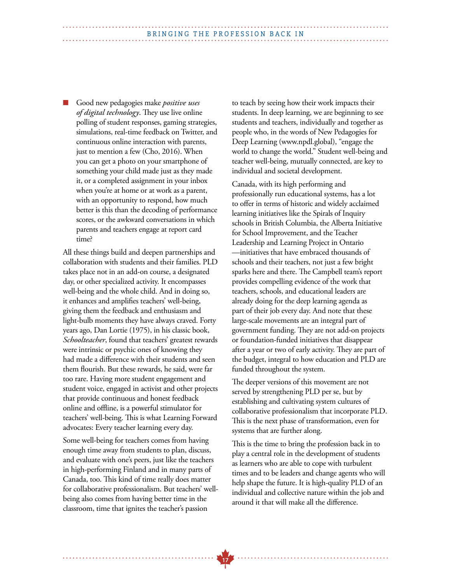#### BRINGING THE PROFESSION BACK IN

n Good new pedagogies make *positive uses of digital technology*. They use live online polling of student responses, gaming strategies, simulations, real-time feedback on Twitter, and continuous online interaction with parents, just to mention a few (Cho, 2016). When you can get a photo on your smartphone of something your child made just as they made it, or a completed assignment in your inbox when you're at home or at work as a parent, with an opportunity to respond, how much better is this than the decoding of performance scores, or the awkward conversations in which parents and teachers engage at report card time?

All these things build and deepen partnerships and collaboration with students and their families. PLD takes place not in an add-on course, a designated day, or other specialized activity. It encompasses well-being and the whole child. And in doing so, it enhances and amplifies teachers' well-being, giving them the feedback and enthusiasm and light-bulb moments they have always craved. Forty years ago, Dan Lortie (1975), in his classic book, *Schoolteacher*, found that teachers' greatest rewards were intrinsic or psychic ones of knowing they had made a difference with their students and seen them flourish. But these rewards, he said, were far too rare. Having more student engagement and student voice, engaged in activist and other projects that provide continuous and honest feedback online and offline, is a powerful stimulator for teachers' well-being. This is what Learning Forward advocates: Every teacher learning every day.

Some well-being for teachers comes from having enough time away from students to plan, discuss, and evaluate with one's peers, just like the teachers in high-performing Finland and in many parts of Canada, too. This kind of time really does matter for collaborative professionalism. But teachers' wellbeing also comes from having better time in the classroom, time that ignites the teacher's passion

to teach by seeing how their work impacts their students. In deep learning, we are beginning to see students and teachers, individually and together as people who, in the words of New Pedagogies for Deep Learning (www.npdl.global), "engage the world to change the world." Student well-being and teacher well-being, mutually connected, are key to individual and societal development.

Canada, with its high performing and professionally run educational systems, has a lot to offer in terms of historic and widely acclaimed learning initiatives like the Spirals of Inquiry schools in British Columbia, the Alberta Initiative for School Improvement, and the Teacher Leadership and Learning Project in Ontario —initiatives that have embraced thousands of schools and their teachers, not just a few bright sparks here and there. The Campbell team's report provides compelling evidence of the work that teachers, schools, and educational leaders are already doing for the deep learning agenda as part of their job every day. And note that these large-scale movements are an integral part of government funding. They are not add-on projects or foundation-funded initiatives that disappear after a year or two of early activity. They are part of the budget, integral to how education and PLD are funded throughout the system.

The deeper versions of this movement are not served by strengthening PLD per se, but by establishing and cultivating system cultures of collaborative professionalism that incorporate PLD. This is the next phase of transformation, even for systems that are further along.

This is the time to bring the profession back in to play a central role in the development of students as learners who are able to cope with turbulent times and to be leaders and change agents who will help shape the future. It is high-quality PLD of an individual and collective nature within the job and around it that will make all the difference.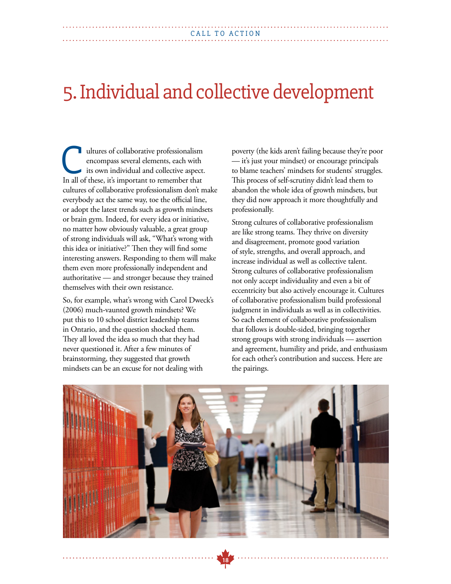## 5. Individual and collective development

ultures of collaborative professionalism encompass several elements, each with its own individual and collective aspect. In all of these, it's important to remember that all of these, it's important to remember that cultures of collaborative professionalism don't make everybody act the same way, toe the official line, or adopt the latest trends such as growth mindsets or brain gym. Indeed, for every idea or initiative, no matter how obviously valuable, a great group of strong individuals will ask, "What's wrong with this idea or initiative?" Then they will find some interesting answers. Responding to them will make them even more professionally independent and authoritative — and stronger because they trained themselves with their own resistance.

So, for example, what's wrong with Carol Dweck's (2006) much-vaunted growth mindsets? We put this to 10 school district leadership teams in Ontario, and the question shocked them. They all loved the idea so much that they had never questioned it. After a few minutes of brainstorming, they suggested that growth mindsets can be an excuse for not dealing with

poverty (the kids aren't failing because they're poor — it's just your mindset) or encourage principals to blame teachers' mindsets for students' struggles. This process of self-scrutiny didn't lead them to abandon the whole idea of growth mindsets, but they did now approach it more thoughtfully and professionally.

Strong cultures of collaborative professionalism are like strong teams. They thrive on diversity and disagreement, promote good variation of style, strengths, and overall approach, and increase individual as well as collective talent. Strong cultures of collaborative professionalism not only accept individuality and even a bit of eccentricity but also actively encourage it. Cultures of collaborative professionalism build professional judgment in individuals as well as in collectivities. So each element of collaborative professionalism that follows is double-sided, bringing together strong groups with strong individuals — assertion and agreement, humility and pride, and enthusiasm for each other's contribution and success. Here are the pairings.

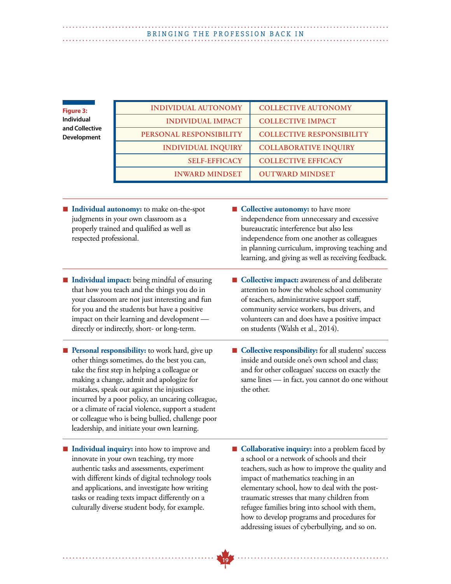## BRINGING THE PROFESSION BACK IN

| <b>Figure 3:</b>              | <b>INDIVIDUAL AUTONOMY</b> | <b>COLLECTIVE AUTONOMY</b>       |
|-------------------------------|----------------------------|----------------------------------|
| Individual                    | <b>INDIVIDUAL IMPACT</b>   | <b>COLLECTIVE IMPACT</b>         |
| and Collective<br>Development | PERSONAL RESPONSIBILITY    | <b>COLLECTIVE RESPONSIBILITY</b> |
|                               | <b>INDIVIDUAL INQUIRY</b>  | <b>COLLABORATIVE INQUIRY</b>     |
|                               | <b>SELF-EFFICACY</b>       | <b>COLLECTIVE EFFICACY</b>       |
|                               | <b>INWARD MINDSET</b>      | <b>OUTWARD MINDSET</b>           |

**19**

■ **Individual autonomy:** to make on-the-spot judgments in your own classroom as a properly trained and qualified as well as respected professional.

- **Individual impact:** being mindful of ensuring that how you teach and the things you do in your classroom are not just interesting and fun for you and the students but have a positive impact on their learning and development directly or indirectly, short- or long-term.
- **n** Personal responsibility: to work hard, give up other things sometimes, do the best you can, take the first step in helping a colleague or making a change, admit and apologize for mistakes, speak out against the injustices incurred by a poor policy, an uncaring colleague, or a climate of racial violence, support a student or colleague who is being bullied, challenge poor leadership, and initiate your own learning.
- Individual inquiry: into how to improve and innovate in your own teaching, try more authentic tasks and assessments, experiment with different kinds of digital technology tools and applications, and investigate how writing tasks or reading texts impact differently on a culturally diverse student body, for example.
- **n Collective autonomy:** to have more independence from unnecessary and excessive bureaucratic interference but also less independence from one another as colleagues in planning curriculum, improving teaching and learning, and giving as well as receiving feedback.
- **n Collective impact:** awareness of and deliberate attention to how the whole school community of teachers, administrative support staff, community service workers, bus drivers, and volunteers can and does have a positive impact on students (Walsh et al., 2014).
- **Collective responsibility:** for all students' success inside and outside one's own school and class; and for other colleagues' success on exactly the same lines — in fact, you cannot do one without the other.
- **n Collaborative inquiry:** into a problem faced by a school or a network of schools and their teachers, such as how to improve the quality and impact of mathematics teaching in an elementary school, how to deal with the posttraumatic stresses that many children from refugee families bring into school with them, how to develop programs and procedures for addressing issues of cyberbullying, and so on.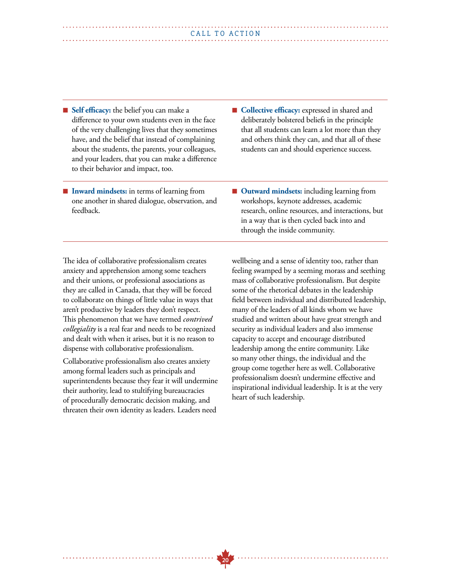- Self efficacy: the belief you can make a difference to your own students even in the face of the very challenging lives that they sometimes have, and the belief that instead of complaining about the students, the parents, your colleagues, and your leaders, that you can make a difference to their behavior and impact, too.
- **Inward mindsets:** in terms of learning from one another in shared dialogue, observation, and feedback.
- **n Collective efficacy:** expressed in shared and deliberately bolstered beliefs in the principle that all students can learn a lot more than they and others think they can, and that all of these students can and should experience success.
- Outward mindsets: including learning from workshops, keynote addresses, academic research, online resources, and interactions, but in a way that is then cycled back into and through the inside community.

The idea of collaborative professionalism creates anxiety and apprehension among some teachers and their unions, or professional associations as they are called in Canada, that they will be forced to collaborate on things of little value in ways that aren't productive by leaders they don't respect. This phenomenon that we have termed *contrived collegiality* is a real fear and needs to be recognized and dealt with when it arises, but it is no reason to dispense with collaborative professionalism.

Collaborative professionalism also creates anxiety among formal leaders such as principals and superintendents because they fear it will undermine their authority, lead to stultifying bureaucracies of procedurally democratic decision making, and threaten their own identity as leaders. Leaders need

wellbeing and a sense of identity too, rather than feeling swamped by a seeming morass and seething mass of collaborative professionalism. But despite some of the rhetorical debates in the leadership field between individual and distributed leadership, many of the leaders of all kinds whom we have studied and written about have great strength and security as individual leaders and also immense capacity to accept and encourage distributed leadership among the entire community. Like so many other things, the individual and the group come together here as well. Collaborative professionalism doesn't undermine effective and inspirational individual leadership. It is at the very heart of such leadership.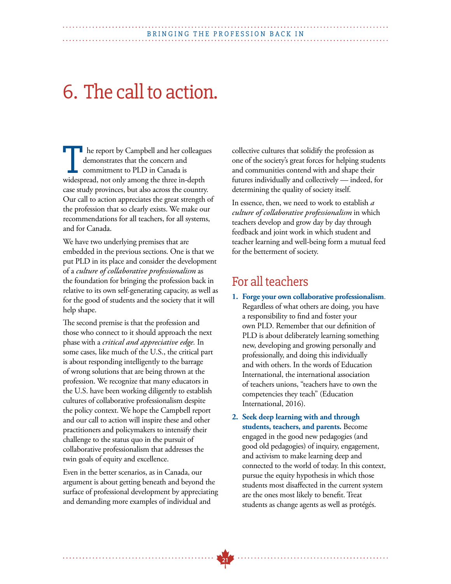## 6. The call to action.

**h** he report by Campbell and her colleagues demonstrates that the concern and commitment to PLD in Canada is In the report by Campbell and her colleague demonstrates that the concern and commitment to PLD in Canada is widespread, not only among the three in-depth case study provinces, but also across the country. Our call to action appreciates the great strength of the profession that so clearly exists. We make our recommendations for all teachers, for all systems, and for Canada.

We have two underlying premises that are embedded in the previous sections. One is that we put PLD in its place and consider the development of a *culture of collaborative professionalism* as the foundation for bringing the profession back in relative to its own self-generating capacity, as well as for the good of students and the society that it will help shape.

The second premise is that the profession and those who connect to it should approach the next phase with a *critical and appreciative edge.* In some cases, like much of the U.S., the critical part is about responding intelligently to the barrage of wrong solutions that are being thrown at the profession. We recognize that many educators in the U.S. have been working diligently to establish cultures of collaborative professionalism despite the policy context. We hope the Campbell report and our call to action will inspire these and other practitioners and policymakers to intensify their challenge to the status quo in the pursuit of collaborative professionalism that addresses the twin goals of equity and excellence.

Even in the better scenarios, as in Canada, our argument is about getting beneath and beyond the surface of professional development by appreciating and demanding more examples of individual and

collective cultures that solidify the profession as one of the society's great forces for helping students and communities contend with and shape their futures individually and collectively — indeed, for determining the quality of society itself.

In essence, then, we need to work to establish *a culture of collaborative professionalism* in which teachers develop and grow day by day through feedback and joint work in which student and teacher learning and well-being form a mutual feed for the betterment of society.

### For all teachers

- **1. Forge your own collaborative professionalism**. Regardless of what others are doing, you have a responsibility to find and foster your own PLD. Remember that our definition of PLD is about deliberately learning something new, developing and growing personally and professionally, and doing this individually and with others. In the words of Education International, the international association of teachers unions, "teachers have to own the competencies they teach" (Education International, 2016).
- **2. Seek deep learning with and through students, teachers, and parents.** Become engaged in the good new pedagogies (and good old pedagogies) of inquiry, engagement, and activism to make learning deep and connected to the world of today. In this context, pursue the equity hypothesis in which those students most disaffected in the current system are the ones most likely to benefit. Treat students as change agents as well as protégés.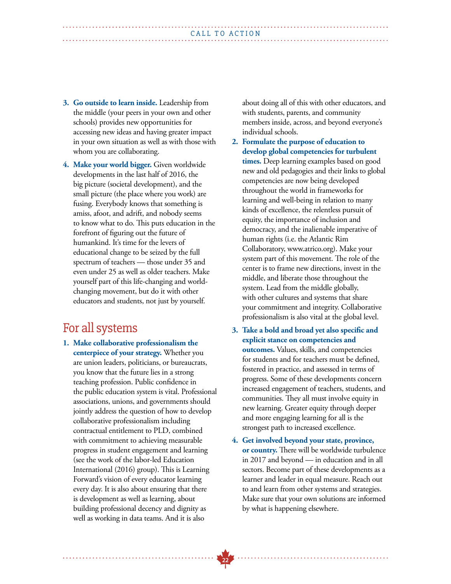- **3. Go outside to learn inside.** Leadership from the middle (your peers in your own and other schools) provides new opportunities for accessing new ideas and having greater impact in your own situation as well as with those with whom you are collaborating.
- **4. Make your world bigger.** Given worldwide developments in the last half of 2016, the big picture (societal development), and the small picture (the place where you work) are fusing. Everybody knows that something is amiss, afoot, and adrift, and nobody seems to know what to do. This puts education in the forefront of figuring out the future of humankind. It's time for the levers of educational change to be seized by the full spectrum of teachers — those under 35 and even under 25 as well as older teachers. Make yourself part of this life-changing and worldchanging movement, but do it with other educators and students, not just by yourself.

### For all systems

**1. Make collaborative professionalism the centerpiece of your strategy.** Whether you are union leaders, politicians, or bureaucrats, you know that the future lies in a strong teaching profession. Public confidence in the public education system is vital. Professional associations, unions, and governments should jointly address the question of how to develop collaborative professionalism including contractual entitlement to PLD, combined with commitment to achieving measurable progress in student engagement and learning (see the work of the labor-led Education International (2016) group). This is Learning Forward's vision of every educator learning every day. It is also about ensuring that there is development as well as learning, about building professional decency and dignity as well as working in data teams. And it is also

about doing all of this with other educators, and with students, parents, and community members inside, across, and beyond everyone's individual schools.

- **2. Formulate the purpose of education to develop global competencies for turbulent times.** Deep learning examples based on good new and old pedagogies and their links to global competencies are now being developed throughout the world in frameworks for learning and well-being in relation to many kinds of excellence, the relentless pursuit of equity, the importance of inclusion and democracy, and the inalienable imperative of human rights (i.e. the Atlantic Rim Collaboratory, www.atrico.org). Make your system part of this movement. The role of the center is to frame new directions, invest in the middle, and liberate those throughout the system. Lead from the middle globally, with other cultures and systems that share your commitment and integrity. Collaborative professionalism is also vital at the global level.
- **3. Take a bold and broad yet also specific and explicit stance on competencies and outcomes.** Values, skills, and competencies for students and for teachers must be defined, fostered in practice, and assessed in terms of progress. Some of these developments concern increased engagement of teachers, students, and communities. They all must involve equity in new learning. Greater equity through deeper and more engaging learning for all is the strongest path to increased excellence.
- **4. Get involved beyond your state, province, or country.** There will be worldwide turbulence in 2017 and beyond — in education and in all sectors. Become part of these developments as a learner and leader in equal measure. Reach out to and learn from other systems and strategies. Make sure that your own solutions are informed by what is happening elsewhere.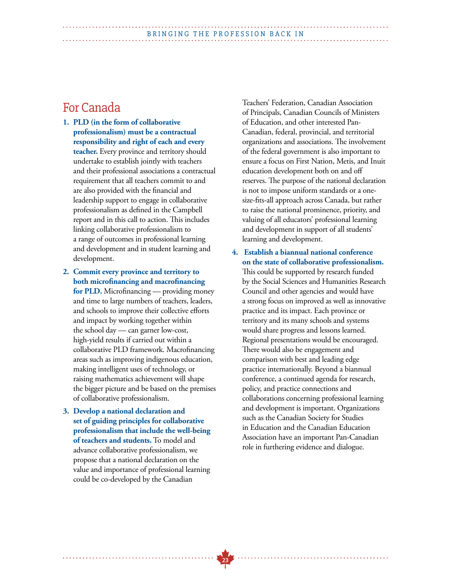#### BRINGING THE PROFESSION BACK IN

### For Canada

- **1. PLD (in the form of collaborative professionalism) must be a contractual responsibility and right of each and every teacher.** Every province and territory should undertake to establish jointly with teachers and their professional associations a contractual requirement that all teachers commit to and are also provided with the financial and leadership support to engage in collaborative professionalism as defined in the Campbell report and in this call to action. This includes linking collaborative professionalism to a range of outcomes in professional learning and development and in student learning and development.
- **2. Commit every province and territory to both microfinancing and macrofinancing for PLD.** Microfinancing — providing money and time to large numbers of teachers, leaders, and schools to improve their collective efforts and impact by working together within the school day — can garner low-cost, high-yield results if carried out within a collaborative PLD framework. Macrofinancing areas such as improving indigenous education, making intelligent uses of technology, or raising mathematics achievement will shape the bigger picture and be based on the premises of collaborative professionalism.
- **3. Develop a national declaration and set of guiding principles for collaborative professionalism that include the well-being of teachers and students.** To model and advance collaborative professionalism, we propose that a national declaration on the value and importance of professional learning could be co-developed by the Canadian

Teachers' Federation, Canadian Association of Principals, Canadian Councils of Ministers of Education, and other interested Pan-Canadian, federal, provincial, and territorial organizations and associations. The involvement of the federal government is also important to ensure a focus on First Nation, Metis, and Inuit education development both on and off reserves. The purpose of the national declaration is not to impose uniform standards or a onesize-fits-all approach across Canada, but rather to raise the national prominence, priority, and valuing of all educators' professional learning and development in support of all students' learning and development.

**4. Establish a biannual national conference on the state of collaborative professionalism.** This could be supported by research funded by the Social Sciences and Humanities Research Council and other agencies and would have a strong focus on improved as well as innovative practice and its impact. Each province or territory and its many schools and systems would share progress and lessons learned. Regional presentations would be encouraged. There would also be engagement and comparison with best and leading edge practice internationally. Beyond a biannual conference, a continued agenda for research, policy, and practice connections and collaborations concerning professional learning and development is important. Organizations such as the Canadian Society for Studies in Education and the Canadian Education Association have an important Pan-Canadian role in furthering evidence and dialogue.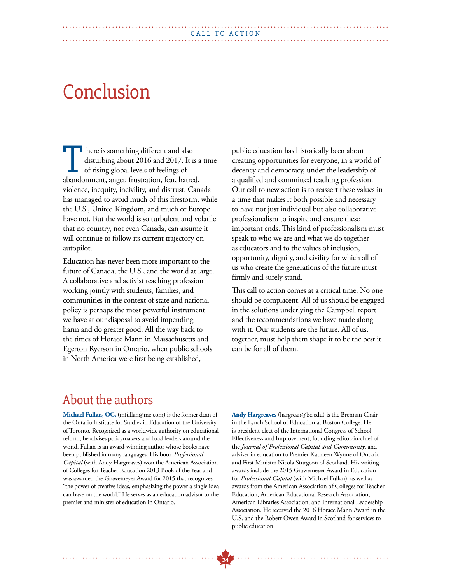## **Conclusion**

**h** here is something different and also disturbing about 2016 and 2017. It is a time of rising global levels of feelings of here is something different and also<br>disturbing about 2016 and 2017. It is a<br>of rising global levels of feelings of<br>abandonment, anger, frustration, fear, hatred, violence, inequity, incivility, and distrust. Canada has managed to avoid much of this firestorm, while the U.S., United Kingdom, and much of Europe have not. But the world is so turbulent and volatile that no country, not even Canada, can assume it will continue to follow its current trajectory on autopilot.

Education has never been more important to the future of Canada, the U.S., and the world at large. A collaborative and activist teaching profession working jointly with students, families, and communities in the context of state and national policy is perhaps the most powerful instrument we have at our disposal to avoid impending harm and do greater good. All the way back to the times of Horace Mann in Massachusetts and Egerton Ryerson in Ontario, when public schools in North America were first being established,

public education has historically been about creating opportunities for everyone, in a world of decency and democracy, under the leadership of a qualified and committed teaching profession. Our call to new action is to reassert these values in a time that makes it both possible and necessary to have not just individual but also collaborative professionalism to inspire and ensure these important ends. This kind of professionalism must speak to who we are and what we do together as educators and to the values of inclusion, opportunity, dignity, and civility for which all of us who create the generations of the future must firmly and surely stand.

This call to action comes at a critical time. No one should be complacent. All of us should be engaged in the solutions underlying the Campbell report and the recommendations we have made along with it. Our students are the future. All of us, together, must help them shape it to be the best it can be for all of them.

### About the authors

. . . . . . . . . . . . . . . . . .

**Michael Fullan, OC,** (mfullan@me.com) is the former dean of the Ontario Institute for Studies in Education of the University of Toronto. Recognized as a worldwide authority on educational reform, he advises policymakers and local leaders around the world. Fullan is an award-winning author whose books have been published in many languages. His book *Professional Capital* (with Andy Hargreaves) won the American Association of Colleges for Teacher Education 2013 Book of the Year and was awarded the Grawemeyer Award for 2015 that recognizes "the power of creative ideas, emphasizing the power a single idea can have on the world." He serves as an education advisor to the premier and minister of education in Ontario.

**Andy Hargreaves** (hargrean@bc.edu) is the Brennan Chair in the Lynch School of Education at Boston College. He is president-elect of the International Congress of School Effectiveness and Improvement, founding editor-in-chief of the *Journal of Professional Capital and Community*, and adviser in education to Premier Kathleen Wynne of Ontario and First Minister Nicola Sturgeon of Scotland. His writing awards include the 2015 Grawemeyer Award in Education for *Professional Capital* (with Michael Fullan), as well as awards from the American Association of Colleges for Teacher Education, American Educational Research Association, American Libraries Association, and International Leadership Association. He received the 2016 Horace Mann Award in the U.S. and the Robert Owen Award in Scotland for services to public education.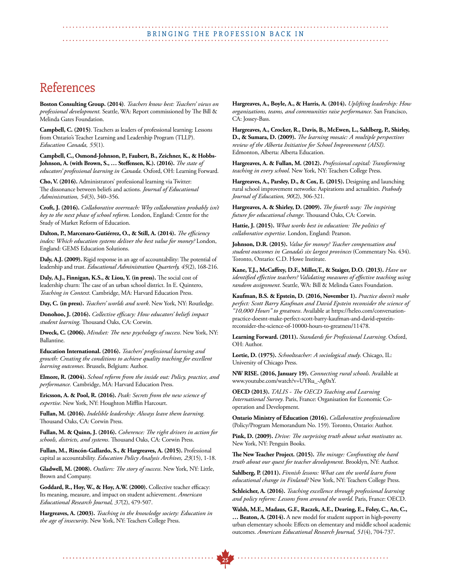### References

**Boston Consulting Group. (2014)**. *Teachers know best: Teachers' views on professional development.* Seattle, WA: Report commissioned by The Bill & Melinda Gates Foundation.

**Campbell, C. (2015)**. Teachers as leaders of professional learning: Lessons from Ontario's Teacher Learning and Leadership Program (TLLP). *Education Canada, 55*(1).

**Campbell, C., Osmond-Johnson, P., Faubert, B., Zeichner, K., & Hobbs-Johnson, A. (with Brown, S., … Steffensen, K.). (2016).** *The state of educators' professional learning in Canada.* Oxford, OH: Learning Forward.

**Cho, V. (2016).** Administrators' professional learning via Twitter: The dissonance between beliefs and actions. *Journal of Educational Administration, 54*(3), 340–356.

**Croft, J. (2016).** *Collaborative overreach: Why collaboration probably isn't key to the next phase of school reform*. London, England: Centre for the Study of Market Reform of Education.

**Dalton, P., Marcenaro-Gutiérrez, O., & Still, A. (2014).** *The efficiency index: Which education systems deliver the best value for money?* London, England: GEMS Education Solutions.

**Daly, A.J. (2009).** Rigid response in an age of accountability: The potential of leadership and trust. *Educational Administration Quarterly, 45*(2), 168-216.

**Daly, A.J., Finnigan, K.S., & Liou, Y. (in press).** The social cost of leadership churn: The case of an urban school district. In E. Quintero, *Teaching in Context*. Cambridge, MA: Harvard Education Press.

**Day, C. (in press).** *Teachers' worlds and work*. New York, NY: Routledge.

**Donohoo, J. (2016).** *Collective efficacy: How educators' beliefs impact student learning*. Thousand Oaks, CA: Corwin.

**Dweck, C. (2006).** *Mindset: The new psychology of success*. New York, NY: Ballantine.

**Education International. (2016).** *Teachers' professional learning and growth: Creating the conditions to achieve quality teaching for excellent learning outcomes*. Brussels, Belgium: Author.

**Elmore, R. (2004).** *School reform from the inside out: Policy, practice, and performance.* Cambridge, MA: Harvard Education Press.

**Ericsson, A. & Pool, R. (2016).** *Peak: Secrets from the new science of expertise*. New York, NY: Houghton Mifflin Harcourt.

**Fullan, M. (2016).** *Indelible leadership: Always leave them learning*. Thousand Oaks, CA: Corwin Press.

**Fullan, M. & Quinn, J. (2016).** *Coherence: The right drivers in action for schools, districts, and systems*. Thousand Oaks, CA: Corwin Press.

**Fullan, M., Rincón-Gallardo, S., & Hargreaves, A. (2015).** Professional capital as accountability. *Education Policy Analysis Archives, 23*(15), 1-18.

**Gladwell, M. (2008).** *Outliers: The story of success*. New York, NY: Little, Brown and Company.

**Goddard, R., Hoy, W., & Hoy, A.W. (2000).** Collective teacher efficacy: Its meaning, measure, and impact on student achievement. *American Educational Research Journal, 37*(2), 479-507.

**Hargreaves, A. (2003).** *Teaching in the knowledge society: Education in the age of insecurity*. New York, NY: Teachers College Press.

**Hargreaves, A., Boyle, A., & Harris, A. (2014).** *Uplifting leadership: How organizations, teams, and communities raise performance*. San Francisco, CA: Jossey-Bass.

**Hargreaves, A., Crocker, R., Davis, B., McEwen, L., Sahlberg, P., Shirley, D., & Sumara, D. (2009).** *The learning mosaic: A multiple perspectives review of the Alberta Initiative for School Improvement (AISI)*. Edmonton, Alberta: Alberta Education.

**Hargreaves, A. & Fullan, M. (2012).** *Professional capital: Transforming teaching in every school*. New York, NY: Teachers College Press.

**Hargreaves, A., Parsley, D., & Cox, E. (2015).** Designing and launching rural school improvement networks: Aspirations and actualities. *Peabody Journal of Education, 90*(2), 306-321.

**Hargreaves, A. & Shirley, D. (2009).** *The fourth way: The inspiring future for educational change*. Thousand Oaks, CA: Corwin.

**Hattie, J. (2015).** *What works best in education: The politics of collaborative expertise*. London, England: Pearson.

**Johnson, D.R. (2015).** *Value for money? Teacher compensation and student outcomes in Canada's six largest provinces* (Commentary No. 434). Toronto, Ontario: C.D. Howe Institute.

**Kane, T.J., McCaffrey, D.F., Miller,T., & Staiger, D.O. (2013).** *Have we identified effective teachers? Validating measures of effective teaching using random assignment*. Seattle, WA: Bill & Melinda Gates Foundation.

**Kaufman, B.S. & Epstein, D. (2016, November 1).** *Practice doesn't make perfect: Scott Barry Kaufman and David Epstein reconsider the science of "10,000 Hours" to greatness*. Available at https://heleo.com/conversationpractice-doesnt-make-perfect-scott-barry-kaufman-and-david-epsteinreconsider-the-science-of-10000-hours-to-greatness/11478.

**Learning Forward. (2011).** *Standards for Professional Learning*. Oxford, OH: Author.

**Lortie, D. (1975).** *Schoolteacher: A sociological study*. Chicago, IL: University of Chicago Press.

**NW RISE. (2016, January 19).** *Connecting rural schools*. Available at www.youtube.com/watch?v=UYRu\_-Ag0xY.

**OECD (2013).** *TALIS - The OECD Teaching and Learning International Survey*. Paris, France: Organisation for Economic Cooperation and Development.

**Ontario Ministry of Education (2016).** *Collaborative professionalism* (Policy/Program Memorandum No. 159). Toronto, Ontario: Author.

**Pink, D. (2009).** *Drive: The surprising truth about what motivates us*. New York, NY: Penguin Books.

**The New Teacher Project. (2015).** *The mirage: Confronting the hard truth about our quest for teacher development*. Brooklyn, NY: Author.

**Sahlberg, P. (2011).** *Finnish lessons: What can the world learn from educational change in Finland?* New York, NY: Teachers College Press.

**Schleicher, A. (2016).** *Teaching excellence through professional learning and policy reform: Lessons from around the world*. Paris, France: OECD.

**Walsh, M.E., Madaus, G.F., Raczek, A.E., Dearing, E., Foley, C., An, C., … Beaton, A. (2014).** A new model for student support in high-poverty urban elementary schools: Effects on elementary and middle school academic outcomes. *American Educational Research Journal, 51*(4), 704-737.